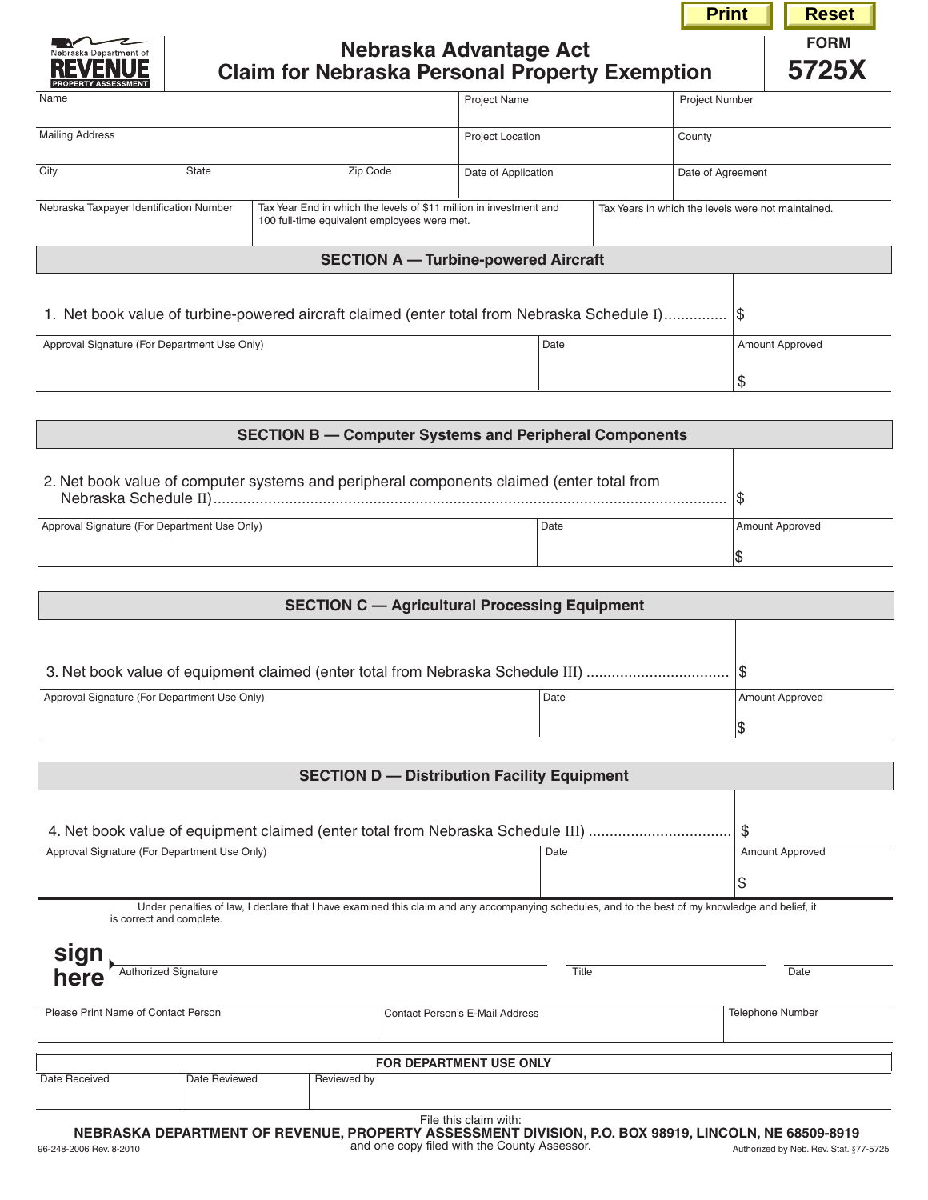|                                                                                                                                                               |                                                                                                         |                                                       |                                             |                       |                   | <b>Print</b>                                       |                 | <b>Reset</b>         |
|---------------------------------------------------------------------------------------------------------------------------------------------------------------|---------------------------------------------------------------------------------------------------------|-------------------------------------------------------|---------------------------------------------|-----------------------|-------------------|----------------------------------------------------|-----------------|----------------------|
|                                                                                                                                                               |                                                                                                         | <b>Claim for Nebraska Personal Property Exemption</b> | Nebraska Advantage Act                      |                       |                   |                                                    |                 | <b>FORM</b><br>5725X |
| Name                                                                                                                                                          |                                                                                                         |                                                       | Project Name                                |                       |                   | <b>Project Number</b>                              |                 |                      |
| <b>Mailing Address</b>                                                                                                                                        |                                                                                                         |                                                       | <b>Project Location</b>                     |                       |                   | County                                             |                 |                      |
| City                                                                                                                                                          | State                                                                                                   |                                                       | Date of Application                         |                       | Date of Agreement |                                                    |                 |                      |
| Nebraska Taxpayer Identification Number<br>Tax Year End in which the levels of \$11 million in investment and<br>100 full-time equivalent employees were met. |                                                                                                         |                                                       |                                             |                       |                   | Tax Years in which the levels were not maintained. |                 |                      |
|                                                                                                                                                               |                                                                                                         |                                                       | <b>SECTION A - Turbine-powered Aircraft</b> |                       |                   |                                                    |                 |                      |
| Approval Signature (For Department Use Only)                                                                                                                  | 1. Net book value of turbine-powered aircraft claimed (enter total from Nebraska Schedule I) \$<br>Date |                                                       |                                             | Amount Approved<br>\$ |                   |                                                    |                 |                      |
| <b>SECTION B - Computer Systems and Peripheral Components</b>                                                                                                 |                                                                                                         |                                                       |                                             |                       |                   |                                                    |                 |                      |
| 2. Net book value of computer systems and peripheral components claimed (enter total from                                                                     |                                                                                                         |                                                       |                                             |                       |                   |                                                    | \$              |                      |
| Approval Signature (For Department Use Only)                                                                                                                  |                                                                                                         |                                                       |                                             | Date                  |                   |                                                    | Amount Approved |                      |
|                                                                                                                                                               |                                                                                                         |                                                       |                                             |                       |                   |                                                    | \$              |                      |
| <b>SECTION C - Agricultural Processing Equipment</b>                                                                                                          |                                                                                                         |                                                       |                                             |                       |                   |                                                    |                 |                      |
|                                                                                                                                                               |                                                                                                         |                                                       |                                             |                       |                   |                                                    |                 |                      |

| 3. Net book value of equipment claimed (enter total from Nebraska Schedule III) | ۱ъ   |                 |
|---------------------------------------------------------------------------------|------|-----------------|
| Approval Signature (For Department Use Only)                                    | Date | Amount Approved |
|                                                                                 |      |                 |

| <b>SECTION D - Distribution Facility Equipment</b> |                                                                                       |             |                                 |                                                                                                                                                          |  |  |  |
|----------------------------------------------------|---------------------------------------------------------------------------------------|-------------|---------------------------------|----------------------------------------------------------------------------------------------------------------------------------------------------------|--|--|--|
|                                                    |                                                                                       |             |                                 |                                                                                                                                                          |  |  |  |
|                                                    | \$<br>4. Net book value of equipment claimed (enter total from Nebraska Schedule III) |             |                                 |                                                                                                                                                          |  |  |  |
|                                                    | Approval Signature (For Department Use Only)                                          |             | Date                            | Amount Approved                                                                                                                                          |  |  |  |
|                                                    |                                                                                       |             |                                 | \$                                                                                                                                                       |  |  |  |
| sign<br>here                                       | is correct and complete.<br><b>Authorized Signature</b>                               |             | Title                           | Under penalties of law, I declare that I have examined this claim and any accompanying schedules, and to the best of my knowledge and belief, it<br>Date |  |  |  |
| Please Print Name of Contact Person                |                                                                                       |             | Contact Person's E-Mail Address | <b>Telephone Number</b>                                                                                                                                  |  |  |  |
|                                                    |                                                                                       |             | <b>FOR DEPARTMENT USE ONLY</b>  |                                                                                                                                                          |  |  |  |
| Date Received                                      | Date Reviewed                                                                         | Reviewed by |                                 |                                                                                                                                                          |  |  |  |
|                                                    |                                                                                       |             | File this claim with:           | NERRASKA DEPARTMENT OF REVENHE PROPERTY ASSESSMENT DIVISION. P.O. ROX 98919. I INCOLN. NE 68509-8919                                                     |  |  |  |

96-248-2006 Rev. 8-2010 Authorized by Neb. Rev. Stat. §77-5725 **NEBRASKA DEPARTMENT OF REVENUE, PROPERTY ASSESSMENT DIVISION, P.O. box 98919, LINCOLN, NE 68509-8919** and one copy filed with the County Assessor.